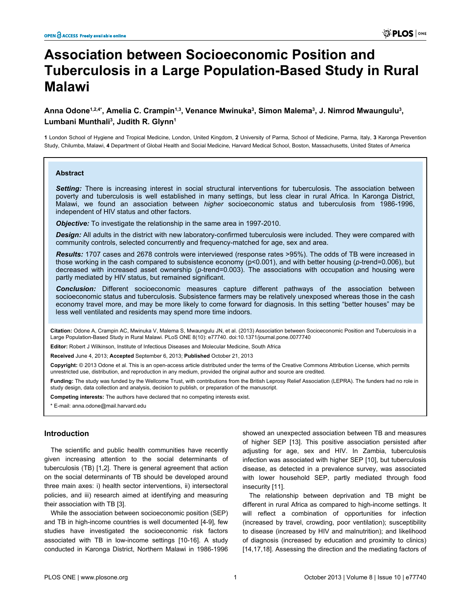# **Association between Socioeconomic Position and Tuberculosis in a Large Population-Based Study in Rural Malawi**

## **Anna Odone1,2,4\*, Amelia C. Crampin1,3, Venance Mwinuka<sup>3</sup> , Simon Malema<sup>3</sup> , J. Nimrod Mwaungulu<sup>3</sup> , Lumbani Munthali<sup>3</sup> , Judith R. Glynn<sup>1</sup>**

**1** London School of Hygiene and Tropical Medicine, London, United Kingdom, **2** University of Parma, School of Medicine, Parma, Italy, **3** Karonga Prevention Study, Chilumba, Malawi, **4** Department of Global Health and Social Medicine, Harvard Medical School, Boston, Massachusetts, United States of America

#### **Abstract**

*Setting:* There is increasing interest in social structural interventions for tuberculosis. The association between poverty and tuberculosis is well established in many settings, but less clear in rural Africa. In Karonga District, Malawi, we found an association between *higher* socioeconomic status and tuberculosis from 1986-1996, independent of HIV status and other factors.

*Objective:* To investigate the relationship in the same area in 1997-2010.

*Design:* All adults in the district with new laboratory-confirmed tuberculosis were included. They were compared with community controls, selected concurrently and frequency-matched for age, sex and area.

*Results:* 1707 cases and 2678 controls were interviewed (response rates >95%). The odds of TB were increased in those working in the cash compared to subsistence economy (p<0.001), and with better housing (*p-*trend=0.006), but decreased with increased asset ownership (*p-*trend=0.003). The associations with occupation and housing were partly mediated by HIV status, but remained significant.

*Conclusion:* Different socioeconomic measures capture different pathways of the association between socioeconomic status and tuberculosis. Subsistence farmers may be relatively unexposed whereas those in the cash economy travel more, and may be more likely to come forward for diagnosis. In this setting "better houses" may be less well ventilated and residents may spend more time indoors.

**Citation:** Odone A, Crampin AC, Mwinuka V, Malema S, Mwaungulu JN, et al. (2013) Association between Socioeconomic Position and Tuberculosis in a Large Population-Based Study in Rural Malawi. PLoS ONE 8(10): e77740. doi:10.1371/journal.pone.0077740

**Editor:** Robert J Wilkinson, Institute of Infectious Diseases and Molecular Medicine, South Africa

**Received** June 4, 2013; **Accepted** September 6, 2013; **Published** October 21, 2013

**Copyright:** © 2013 Odone et al. This is an open-access article distributed under the terms of the Creative Commons Attribution License, which permits unrestricted use, distribution, and reproduction in any medium, provided the original author and source are credited.

**Funding:** The study was funded by the Wellcome Trust, with contributions from the British Leprosy Relief Association (LEPRA). The funders had no role in study design, data collection and analysis, decision to publish, or preparation of the manuscript.

**Competing interests:** The authors have declared that no competing interests exist.

\* E-mail: anna.odone@mail.harvard.edu

## **Introduction**

The scientific and public health communities have recently given increasing attention to the social determinants of tuberculosis (TB) [[1,2\]](#page-6-0). There is general agreement that action on the social determinants of TB should be developed around three main axes: i) health sector interventions, ii) intersectoral policies, and iii) research aimed at identifying and measuring their association with TB [\[3](#page-6-0)].

While the association between socioeconomic position (SEP) and TB in high-income countries is well documented [\[4](#page-6-0)-[9\]](#page-6-0), few studies have investigated the socioeconomic risk factors associated with TB in low-income settings [\[10-16](#page-6-0)]. A study conducted in Karonga District, Northern Malawi in 1986-1996

showed an unexpected association between TB and measures of higher SEP [[13](#page-6-0)]. This positive association persisted after adjusting for age, sex and HIV. In Zambia, tuberculosis infection was associated with higher SEP [[10](#page-6-0)], but tuberculosis disease, as detected in a prevalence survey, was associated with lower household SEP, partly mediated through food insecurity [\[11\]](#page-6-0).

The relationship between deprivation and TB might be different in rural Africa as compared to high-income settings. It will reflect a combination of opportunities for infection (increased by travel, crowding, poor ventilation); susceptibility to disease (increased by HIV and malnutrition); and likelihood of diagnosis (increased by education and proximity to clinics) [[14](#page-6-0),[17,18\]](#page-6-0). Assessing the direction and the mediating factors of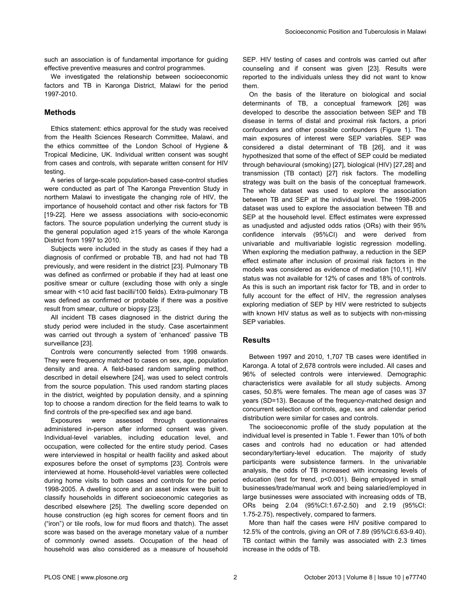such an association is of fundamental importance for guiding effective preventive measures and control programmes.

We investigated the relationship between socioeconomic factors and TB in Karonga District, Malawi for the period 1997-2010.

## **Methods**

Ethics statement: ethics approval for the study was received from the Health Sciences Research Committee, Malawi, and the ethics committee of the London School of Hygiene & Tropical Medicine, UK. Individual written consent was sought from cases and controls, with separate written consent for HIV testing.

A series of large-scale population-based case-control studies were conducted as part of The Karonga Prevention Study in northern Malawi to investigate the changing role of HIV, the importance of household contact and other risk factors for TB [[19-22\]](#page-6-0). Here we assess associations with socio-economic factors. The source population underlying the current study is the general population aged ≥15 years of the whole Karonga District from 1997 to 2010.

Subjects were included in the study as cases if they had a diagnosis of confirmed or probable TB, and had not had TB previously, and were resident in the district [\[23\]](#page-6-0). Pulmonary TB was defined as confirmed or probable if they had at least one positive smear or culture (excluding those with only a single smear with <10 acid fast bacilli/100 fields). Extra-pulmonary TB was defined as confirmed or probable if there was a positive result from smear, culture or biopsy [[23\]](#page-6-0).

All incident TB cases diagnosed in the district during the study period were included in the study. Case ascertainment was carried out through a system of 'enhanced' passive TB surveillance [\[23\]](#page-6-0).

Controls were concurrently selected from 1998 onwards. They were frequency matched to cases on sex, age, population density and area. A field-based random sampling method, described in detail elsewhere [[24](#page-6-0)], was used to select controls from the source population. This used random starting places in the district, weighted by population density, and a spinning top to choose a random direction for the field teams to walk to find controls of the pre-specified sex and age band.

Exposures were assessed through questionnaires administered in-person after informed consent was given. Individual-level variables, including education level, and occupation, were collected for the entire study period. Cases were interviewed in hospital or health facility and asked about exposures before the onset of symptoms [[23](#page-6-0)]. Controls were interviewed at home. Household-level variables were collected during home visits to both cases and controls for the period 1998-2005. A dwelling score and an asset index were built to classify households in different socioeconomic categories as described elsewhere [\[25\]](#page-7-0). The dwelling score depended on house construction (eg high scores for cement floors and tin ("iron") or tile roofs, low for mud floors and thatch). The asset score was based on the average monetary value of a number of commonly owned assets. Occupation of the head of household was also considered as a measure of household

SEP. HIV testing of cases and controls was carried out after counseling and if consent was given [[23](#page-6-0)]. Results were reported to the individuals unless they did not want to know them.

On the basis of the literature on biological and social determinants of TB, a conceptual framework [[26](#page-7-0)] was developed to describe the association between SEP and TB disease in terms of distal and proximal risk factors, a priori confounders and other possible confounders [\(Figure 1](#page-2-0)). The main exposures of interest were SEP variables. SEP was considered a distal determinant of TB [[26](#page-7-0)], and it was hypothesized that some of the effect of SEP could be mediated through behavioural (smoking) [\[27\]](#page-7-0), biological (HIV) [\[27,28](#page-7-0)] and transmission (TB contact) [\[27\]](#page-7-0) risk factors. The modelling strategy was built on the basis of the conceptual framework. The whole dataset was used to explore the association between TB and SEP at the individual level. The 1998-2005 dataset was used to explore the association between TB and SEP at the household level. Effect estimates were expressed as unadjusted and adjusted odds ratios (ORs) with their 95% confidence intervals (95%CI) and were derived from univariable and multivariable logistic regression modelling. When exploring the mediation pathway, a reduction in the SEP effect estimate after inclusion of proximal risk factors in the models was considered as evidence of mediation [\[10,11](#page-6-0)]. HIV status was not available for 12% of cases and 18% of controls. As this is such an important risk factor for TB, and in order to fully account for the effect of HIV, the regression analyses exploring mediation of SEP by HIV were restricted to subjects with known HIV status as well as to subjects with non-missing SEP variables.

## **Results**

Between 1997 and 2010, 1,707 TB cases were identified in Karonga. A total of 2,678 controls were included. All cases and 96% of selected controls were interviewed. Demographic characteristics were available for all study subjects. Among cases, 50.8% were females. The mean age of cases was 37 years (SD=13). Because of the frequency-matched design and concurrent selection of controls, age, sex and calendar period distribution were similar for cases and controls.

The socioeconomic profile of the study population at the individual level is presented in [Table 1](#page-3-0). Fewer than 10% of both cases and controls had no education or had attended secondary/tertiary-level education. The majority of study participants were subsistence farmers. In the univariable analysis, the odds of TB increased with increasing levels of education (test for trend, p<0.001). Being employed in small businesses/trade/manual work and being salaried/employed in large businesses were associated with increasing odds of TB, ORs being 2.04 (95%CI:1.67-2.50) and 2.19 (95%CI: 1.75-2.75), respectively, compared to farmers.

More than half the cases were HIV positive compared to 12.5% of the controls, giving an OR of 7.89 (95%CI:6.63-9.40). TB contact within the family was associated with 2.3 times increase in the odds of TB.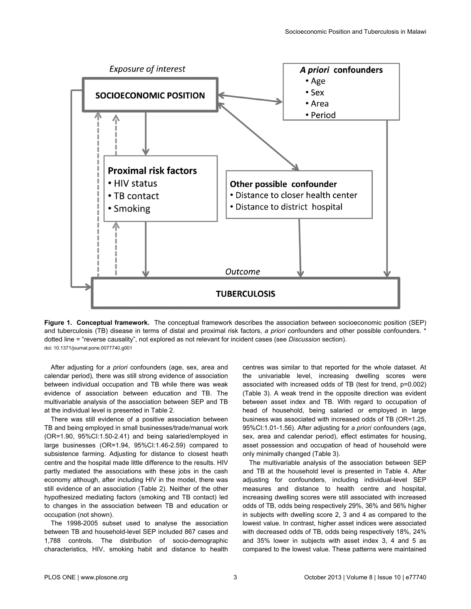<span id="page-2-0"></span>

**Figure 1. Conceptual framework.** The conceptual framework describes the association between socioeconomic position (SEP) and tuberculosis (TB) disease in terms of distal and proximal risk factors, *a priori* confounders and other possible confounders. \* dotted line = "reverse causality", not explored as not relevant for incident cases (see *Discussion* section). doi: 10.1371/journal.pone.0077740.g001

After adjusting for *a priori* confounders (age, sex, area and calendar period), there was still strong evidence of association between individual occupation and TB while there was weak evidence of association between education and TB. The multivariable analysis of the association between SEP and TB at the individual level is presented in [Table 2.](#page-4-0)

There was still evidence of a positive association between TB and being employed in small businesses/trade/manual work (OR=1.90, 95%CI:1.50-2.41) and being salaried/employed in large businesses (OR=1.94, 95%CI:1.46-2.59) compared to subsistence farming. Adjusting for distance to closest heath centre and the hospital made little difference to the results. HIV partly mediated the associations with these jobs in the cash economy although, after including HIV in the model, there was still evidence of an association ([Table 2](#page-4-0)). Neither of the other hypothesized mediating factors (smoking and TB contact) led to changes in the association between TB and education or occupation (not shown).

The 1998-2005 subset used to analyse the association between TB and household-level SEP included 867 cases and 1,788 controls. The distribution of socio-demographic characteristics, HIV, smoking habit and distance to health

centres was similar to that reported for the whole dataset. At the univariable level, increasing dwelling scores were associated with increased odds of TB (test for trend, p=0.002) [\(Table 3\)](#page-4-0). A weak trend in the opposite direction was evident between asset index and TB. With regard to occupation of head of household, being salaried or employed in large business was associated with increased odds of TB (OR=1.25, 95%CI:1.01-1.56). After adjusting for *a priori* confounders (age, sex, area and calendar period), effect estimates for housing, asset possession and occupation of head of household were only minimally changed [\(Table 3](#page-4-0)).

The multivariable analysis of the association between SEP and TB at the household level is presented in [Table 4](#page-5-0). After adjusting for confounders, including individual-level SEP measures and distance to health centre and hospital, increasing dwelling scores were still associated with increased odds of TB, odds being respectively 29%, 36% and 56% higher in subjects with dwelling score 2, 3 and 4 as compared to the lowest value. In contrast, higher asset indices were associated with decreased odds of TB, odds being respectively 18%, 24% and 35% lower in subjects with asset index 3, 4 and 5 as compared to the lowest value. These patterns were maintained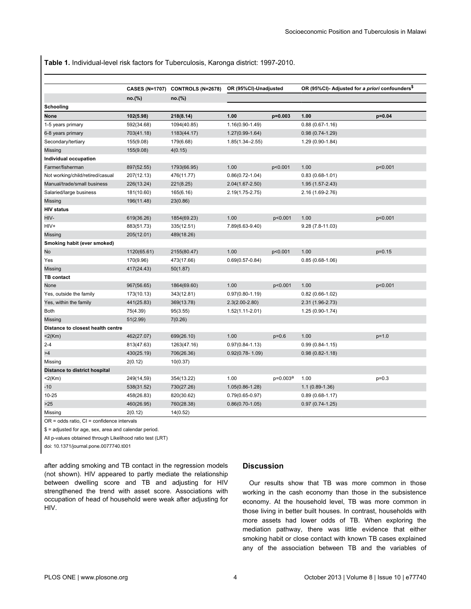<span id="page-3-0"></span>**Table 1.** Individual-level risk factors for Tuberculosis, Karonga district: 1997-2010.

|                                      |             | CASES (N=1707) CONTROLS (N=2678) | OR (95%CI)-Unadjusted |                      | OR (95%CI)- Adjusted for a priori confounders <sup>\$</sup> |          |  |
|--------------------------------------|-------------|----------------------------------|-----------------------|----------------------|-------------------------------------------------------------|----------|--|
|                                      | no.(%)      | no.(%)                           |                       |                      |                                                             |          |  |
| Schooling                            |             |                                  |                       |                      |                                                             |          |  |
| None                                 | 102(5.98)   | 218(8.14)                        | 1.00                  | p=0.003              | 1.00                                                        | $p=0.04$ |  |
| 1-5 years primary                    | 592(34.68)  | 1094(40.85)                      | $1.16(0.90-1.49)$     |                      | $0.88(0.67 - 1.16)$                                         |          |  |
| 6-8 years primary                    | 703(41.18)  | 1183(44.17)                      | $1.27(0.99-1.64)$     |                      | $0.98(0.74-1.29)$                                           |          |  |
| Secondary/tertiary                   | 155(9.08)   | 179(6.68)                        | $1.85(1.34 - 2.55)$   |                      | 1.29 (0.90-1.84)                                            |          |  |
| Missing                              | 155(9.08)   | 4(0.15)                          |                       |                      |                                                             |          |  |
| Individual occupation                |             |                                  |                       |                      |                                                             |          |  |
| Farmer/fisherman                     | 897(52.55)  | 1793(66.95)                      | 1.00                  | p<0.001              | 1.00                                                        | p<0.001  |  |
| Not working/child/retired/casual     | 207(12.13)  | 476(11.77)                       | $0.86(0.72 - 1.04)$   |                      | $0.83(0.68-1.01)$                                           |          |  |
| Manual/trade/small business          | 226(13.24)  | 221(8.25)                        | 2.04(1.67-2.50)       |                      | 1.95 (1.57-2.43)                                            |          |  |
| Salaried/large business              | 181(10.60)  | 165(6.16)                        | $2.19(1.75 - 2.75)$   |                      | 2.16 (1.69-2.76)                                            |          |  |
| Missing                              | 196(11.48)  | 23(0.86)                         |                       |                      |                                                             |          |  |
| <b>HIV status</b>                    |             |                                  |                       |                      |                                                             |          |  |
| HIV-                                 | 619(36.26)  | 1854(69.23)                      | 1.00                  | p<0.001              | 1.00                                                        | p<0.001  |  |
| HIV+                                 | 883(51.73)  | 335(12.51)                       | 7.89(6.63-9.40)       |                      | $9.28(7.8-11.03)$                                           |          |  |
| Missing                              | 205(12.01)  | 489(18.26)                       |                       |                      |                                                             |          |  |
| Smoking habit (ever smoked)          |             |                                  |                       |                      |                                                             |          |  |
| No                                   | 1120(65.61) | 2155(80.47)                      | 1.00                  | p<0.001              | 1.00                                                        | $p=0.15$ |  |
| Yes                                  | 170(9.96)   | 473(17.66)                       | $0.69(0.57 - 0.84)$   |                      | $0.85(0.68-1.06)$                                           |          |  |
| Missing                              | 417(24.43)  | 50(1.87)                         |                       |                      |                                                             |          |  |
| <b>TB</b> contact                    |             |                                  |                       |                      |                                                             |          |  |
| None                                 | 967(56.65)  | 1864(69.60)                      | 1.00                  | p<0.001              | 1.00                                                        | p<0.001  |  |
| Yes, outside the family              | 173(10.13)  | 343(12.81)                       | $0.97(0.80 - 1.19)$   |                      | $0.82(0.66-1.02)$                                           |          |  |
| Yes, within the family               | 441(25.83)  | 369(13.78)                       | $2.3(2.00-2.80)$      |                      | 2.31 (1.96-2.73)                                            |          |  |
| <b>Both</b>                          | 75(4.39)    | 95(3.55)                         | $1.52(1.11 - 2.01)$   |                      | 1.25 (0.90-1.74)                                            |          |  |
| Missing                              | 51(2.99)    | 7(0.26)                          |                       |                      |                                                             |          |  |
| Distance to closest health centre    |             |                                  |                       |                      |                                                             |          |  |
| $<$ 2(Km)                            | 462(27.07)  | 699(26.10)                       | 1.00                  | $p=0.6$              | 1.00                                                        | $p=1.0$  |  |
| $2 - 4$                              | 813(47.63)  | 1263(47.16)                      | $0.97(0.84 - 1.13)$   |                      | $0.99(0.84 - 1.15)$                                         |          |  |
| >4                                   | 430(25.19)  | 706(26.36)                       | $0.92(0.78 - 1.09)$   |                      | $0.98(0.82 - 1.18)$                                         |          |  |
| Missing                              | 2(0.12)     | 10(0.37)                         |                       |                      |                                                             |          |  |
| <b>Distance to district hospital</b> |             |                                  |                       |                      |                                                             |          |  |
| $<2$ (Km)                            | 249(14,59)  | 354(13.22)                       | 1.00                  | p=0.003 <sup>a</sup> | 1.00                                                        | $p=0.3$  |  |
| $-10$                                | 538(31.52)  | 730(27.26)                       | $1.05(0.86 - 1.28)$   |                      | $1.1(0.89-1.36)$                                            |          |  |
| $10 - 25$                            | 458(26.83)  | 820(30.62)                       | $0.79(0.65 - 0.97)$   |                      | $0.89(0.68 - 1.17)$                                         |          |  |
| >25                                  | 460(26.95)  | 760(28.38)                       | $0.86(0.70-1.05)$     |                      | $0.97(0.74-1.25)$                                           |          |  |
| Missing                              | 2(0.12)     | 14(0.52)                         |                       |                      |                                                             |          |  |

 $OR = odds ratio$ .  $Cl = confidence intervals$ 

\$ = adjusted for age, sex, area and calendar period.

All p-values obtained through Likelihood ratio test (LRT)

doi: 10.1371/journal.pone.0077740.t001

after adding smoking and TB contact in the regression models (not shown). HIV appeared to partly mediate the relationship between dwelling score and TB and adjusting for HIV strengthened the trend with asset score. Associations with occupation of head of household were weak after adjusting for HIV.

## **Discussion**

Our results show that TB was more common in those working in the cash economy than those in the subsistence economy. At the household level, TB was more common in those living in better built houses. In contrast, households with more assets had lower odds of TB. When exploring the mediation pathway, there was little evidence that either smoking habit or close contact with known TB cases explained any of the association between TB and the variables of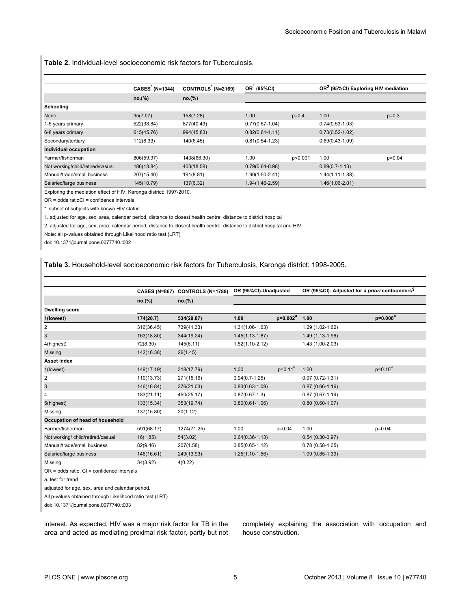<span id="page-4-0"></span>**Table 2.** Individual-level socioeconomic risk factors for Tuberculosis.

|                                  | <b>CASES (N=1344)</b> | CONTROLS (N=2169) | OR (95%CI)          |         | OR <sup>2</sup> (95%CI) Exploring HIV mediation |          |
|----------------------------------|-----------------------|-------------------|---------------------|---------|-------------------------------------------------|----------|
|                                  | no.(%)                | no.(%)            |                     |         |                                                 |          |
| Schooling                        |                       |                   |                     |         |                                                 |          |
| None                             | 95(7.07)              | 158(7.28)         | 1.00                | $p=0.4$ | 1.00                                            | $p=0.3$  |
| 1-5 years primary                | 522(38.84)            | 877(40.43)        | $0.77(0.57 - 1.04)$ |         | $0.74(0.53-1.03)$                               |          |
| 6-8 years primary                | 615(45.76)            | 994(45.83)        | $0.82(0.61 - 1.11)$ |         | $0.73(0.52 - 1.02)$                             |          |
| Secondary/tertiary               | 112(8.33)             | 140(6.45)         | $0.81(0.54 - 1.23)$ |         | $0.69(0.43 - 1.09)$                             |          |
| Individual occupation            |                       |                   |                     |         |                                                 |          |
| Farmer/fisherman                 | 806(59.97)            | 1438(66.30)       | 1.00                | p<0.001 | 1.00                                            | $p=0.04$ |
| Not working/child/retired/casual | 186(13.84)            | 403(18.58)        | $0.79(0.64 - 0.98)$ |         | $0.89(0.7-1.13)$                                |          |
| Manual/trade/small business      | 207(15.40)            | 191(8.81)         | $1.90(1.50 - 2.41)$ |         | 1.44(1.11-1.88)                                 |          |
| Salaried/large business          | 145(10.79)            | 137(6.32)         | $1.94(1.46 - 2.59)$ |         | $1.46(1.06 - 2.01)$                             |          |

Exploring the mediation effect of HIV. Karonga district: 1997-2010.

OR = odds ratioCI = confidence intervals

\*. subset of subjects with known HIV status

1. adjusted for age, sex, area, calendar period, distance to closest health centre, distance to district hospital

2. adjusted for age, sex, area, calendar period, distance to closest health centre, distance to district hospital and HIV

Note: all p-values obtained through Likelihood ratio test (LRT)

doi: 10.1371/journal.pone.0077740.t002

**Table 3.** Household-level socioeconomic risk factors for Tuberculosis, Karonga district: 1998-2005.

|                                   |            | CASES (N=867) CONTROLS (N=1788) | OR (95%CI)-Unadjusted |              | OR (95%CI)- Adjusted for a priori confounders <sup>\$</sup> |              |  |
|-----------------------------------|------------|---------------------------------|-----------------------|--------------|-------------------------------------------------------------|--------------|--|
|                                   | no.(%)     | no.(%)                          |                       |              |                                                             |              |  |
| <b>Dwelling score</b>             |            |                                 |                       |              |                                                             |              |  |
| 1(lowest)                         | 174(20.7)  | 534(29.87)                      | 1.00                  | $p=0.002^a$  | 1.00                                                        | $p = 0.008a$ |  |
| 2                                 | 316(36.45) | 739(41.33)                      | $1.31(1.06-1.63)$     |              | 1.29 (1.02-1.62)                                            |              |  |
| 3                                 | 163(18.80) | 344(19.24)                      | $1.45(1.13 - 1.87)$   |              | $1.49(1.13-1.96)$                                           |              |  |
| 4(highest)                        | 72(8.30)   | 145(8.11)                       | $1.52(1.10-2.12)$     |              | 1.43 (1.00-2.03)                                            |              |  |
| Missing                           | 142(16.38) | 26(1.45)                        |                       |              |                                                             |              |  |
| <b>Asset index</b>                |            |                                 |                       |              |                                                             |              |  |
| 1(lowest)                         | 149(17.19) | 318(17.79)                      | 1,00                  | $p = 0.11^a$ | 1.00                                                        | $p=0.10^a$   |  |
| 2                                 | 119(13.73) | 271(15.16)                      | $0.94(0.7-1.25)$      |              | $0.97(0.72 - 1.31)$                                         |              |  |
| $\mathbf{3}$                      | 146(16.84) | 376(21.03)                      | $0.83(0.63 - 1.09)$   |              | $0.87(0.66-1.16)$                                           |              |  |
| 4                                 | 183(21.11) | 450(25.17)                      | $0.87(0.67-1.3)$      |              | $0.87(0.67 - 1.14)$                                         |              |  |
| 5(highest)                        | 133(15.34) | 353(19.74)                      | $0.80(0.61 - 1.06)$   |              | $0.80(0.60-1.07)$                                           |              |  |
| Missing                           | 137(15.80) | 20(1.12)                        |                       |              |                                                             |              |  |
| Occupation of head of household   |            |                                 |                       |              |                                                             |              |  |
| Farmer/fisherman                  | 591(68.17) | 1274(71.25)                     | 1.00                  | $p=0.04$     | 1.00                                                        | $p=0.04$     |  |
| Not working/ child/retired/casual | 16(1.85)   | 54(3.02)                        | $0.64(0.36-1.13)$     |              | $0.54(0.30-0.97)$                                           |              |  |
| Manual/trade/small business       | 82(9.46)   | 207(1.58)                       | $0.85(0.65-1.12)$     |              | $0.78(0.58-1.05)$                                           |              |  |
| Salaried/large business           | 146(16.61) | 249(13.93)                      | $1.25(1.10-1.56)$     |              | $1.09(0.85-1.39)$                                           |              |  |
| Missing                           | 34(3.92)   | 4(0.22)                         |                       |              |                                                             |              |  |

OR = odds ratio, CI = confidence intervals

a. test for trend

adjusted for age, sex, area and calendar period.

All p-values obtained through Likelihood ratio test (LRT)

doi: 10.1371/journal.pone.0077740.t003

interest. As expected, HIV was a major risk factor for TB in the area and acted as mediating proximal risk factor, partly but not completely explaining the association with occupation and house construction.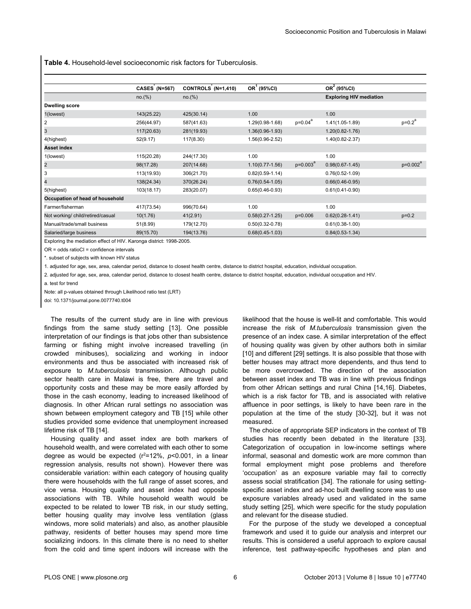<span id="page-5-0"></span>**Table 4.** Household-level socioeconomic risk factors for Tuberculosis.

|                                   | <b>CASES (N=567)</b> | CONTROLS (N=1,410) | $OR1$ (95%CI)       |                  | OR <sup>2</sup> (95%CI)<br><b>Exploring HIV mediation</b> |             |
|-----------------------------------|----------------------|--------------------|---------------------|------------------|-----------------------------------------------------------|-------------|
|                                   | no.(%)               | no.(%)             |                     |                  |                                                           |             |
| <b>Dwelling score</b>             |                      |                    |                     |                  |                                                           |             |
| 1(lowest)                         | 143(25.22)           | 425(30.14)         | 1.00                |                  | 1.00                                                      |             |
| 2                                 | 256(44.97)           | 587(41.63)         | $1.29(0.98 - 1.68)$ | $p=0.04^{\circ}$ | $1.41(1.05-1.89)$                                         | $p=0.2^a$   |
| 3                                 | 117(20.63)           | 281(19.93)         | $1.36(0.96 - 1.93)$ |                  | $1.20(0.82 - 1.76)$                                       |             |
| 4(highest)                        | 52(9.17)             | 117(8.30)          | $1.56(0.96 - 2.52)$ |                  | 1.40(0.82-2.37)                                           |             |
| <b>Asset index</b>                |                      |                    |                     |                  |                                                           |             |
| 1(lowest)                         | 115(20.28)           | 244(17.30)         | 1.00                |                  | 1.00                                                      |             |
| $\overline{\mathbf{c}}$           | 98(17.28)            | 207(14.68)         | $1.10(0.77 - 1.56)$ | $p=0.003^4$      | $0.98(0.67 - 1.45)$                                       | $p=0.002^a$ |
| 3                                 | 113(19.93)           | 306(21.70)         | $0.82(0.59 - 1.14)$ |                  | $0.76(0.52 - 1.09)$                                       |             |
| 4                                 | 138(24.34)           | 370(26.24)         | $0.76(0.54 - 1.05)$ |                  | $0.66(0.46-0.95)$                                         |             |
| 5(highest)                        | 103(18.17)           | 283(20.07)         | $0.65(0.46-0.93)$   |                  | $0.61(0.41-0.90)$                                         |             |
| Occupation of head of household   |                      |                    |                     |                  |                                                           |             |
| Farmer/fisherman                  | 417(73.54)           | 996(70.64)         | 1.00                |                  | 1.00                                                      |             |
| Not working/ child/retired/casual | 10(1.76)             | 41(2.91)           | $0.58(0.27 - 1.25)$ | p=0.006          | $0.62(0.28-1.41)$                                         | $p=0.2$     |
| Manual/trade/small business       | 51(8.99)             | 179(12.70)         | $0.50(0.32 - 0.78)$ |                  | $0.61(0.38-1.00)$                                         |             |
| Salaried/large business           | 89(15.70)            | 194(13.76)         | $0.68(0.45-1.03)$   |                  | $0.84(0.53-1.34)$                                         |             |

Exploring the mediation effect of HIV. Karonga district: 1998-2005.

OR = odds ratioCI = confidence intervals

\*. subset of subjects with known HIV status

1. adjusted for age, sex, area, calendar period, distance to closest health centre, distance to district hospital, education, individual occupation.

2. adjusted for age, sex, area, calendar period, distance to closest health centre, distance to district hospital, education, individual occupation and HIV.

a. test for trend

Note: all p-values obtained through Likelihood ratio test (LRT)

doi: 10.1371/journal.pone.0077740.t004

The results of the current study are in line with previous findings from the same study setting [\[13\]](#page-6-0). One possible interpretation of our findings is that jobs other than subsistence farming or fishing might involve increased travelling (in crowded minibuses), socializing and working in indoor environments and thus be associated with increased risk of exposure to *M.tuberculosis* transmission. Although public sector health care in Malawi is free, there are travel and opportunity costs and these may be more easily afforded by those in the cash economy, leading to increased likelihood of diagnosis. In other African rural settings no association was shown between employment category and TB [[15](#page-6-0)] while other studies provided some evidence that unemployment increased lifetime risk of TB [[14\]](#page-6-0).

Housing quality and asset index are both markers of household wealth, and were correlated with each other to some degree as would be expected  $(r^2=12\%, p<0.001,$  in a linear regression analysis, results not shown). However there was considerable variation: within each category of housing quality there were households with the full range of asset scores, and vice versa. Housing quality and asset index had opposite associations with TB. While household wealth would be expected to be related to lower TB risk, in our study setting, better housing quality may involve less ventilation (glass windows, more solid materials) and also, as another plausible pathway, residents of better houses may spend more time socializing indoors. In this climate there is no need to shelter from the cold and time spent indoors will increase with the

likelihood that the house is well-lit and comfortable. This would increase the risk of *M.tuberculosis* transmission given the presence of an index case. A similar interpretation of the effect of housing quality was given by other authors both in similar [[10](#page-6-0)] and different [\[29\]](#page-7-0) settings. It is also possible that those with better houses may attract more dependents, and thus tend to be more overcrowded. The direction of the association between asset index and TB was in line with previous findings from other African settings and rural China [[14](#page-6-0),[16](#page-6-0)]. Diabetes, which is a risk factor for TB, and is associated with relative affluence in poor settings, is likely to have been rare in the population at the time of the study [\[30-32](#page-7-0)], but it was not measured.

The choice of appropriate SEP indicators in the context of TB studies has recently been debated in the literature [\[33\]](#page-7-0). Categorization of occupation in low-income settings where informal, seasonal and domestic work are more common than formal employment might pose problems and therefore 'occupation' as an exposure variable may fail to correctly assess social stratification [\[34\]](#page-7-0). The rationale for using settingspecific asset index and ad-hoc built dwelling score was to use exposure variables already used and validated in the same study setting [\[25\]](#page-7-0), which were specific for the study population and relevant for the disease studied.

For the purpose of the study we developed a conceptual framework and used it to guide our analysis and interpret our results. This is considered a useful approach to explore causal inference, test pathway-specific hypotheses and plan and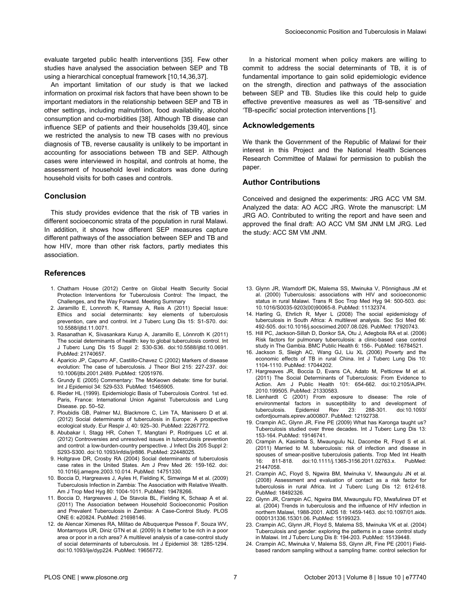<span id="page-6-0"></span>evaluate targeted public health interventions [\[35\]](#page-7-0). Few other studies have analysed the association between SEP and TB using a hierarchical conceptual framework [10,14,[36](#page-7-0),[37\]](#page-7-0).

An important limitation of our study is that we lacked information on proximal risk factors that have been shown to be important mediators in the relationship between SEP and TB in other settings, including malnutrition, food availability, alcohol consumption and co-morbidities [[38](#page-7-0)]. Although TB disease can influence SEP of patients and their households [\[39,40](#page-7-0)], since we restricted the analysis to new TB cases with no previous diagnosis of TB, reverse causality is unlikely to be important in accounting for associations between TB and SEP. Although cases were interviewed in hospital, and controls at home, the assessment of household level indicators was done during household visits for both cases and controls.

#### **Conclusion**

This study provides evidence that the risk of TB varies in different socioeconomic strata of the population in rural Malawi. In addition, it shows how different SEP measures capture different pathways of the association between SEP and TB and how HIV, more than other risk factors, partly mediates this association.

#### **References**

- 1. Chatham House (2012) Centre on Global Health Security Social Protection Interventions for Tuberculosis Control: The Impact, the Challenges, and the Way Forward. Meeting Summary
- 2. Jaramillo E, Lonnroth K, Ramsay A, Reis A (2011) Special Issue: Ethics and social determinants: key elements of tuberculosis prevention, care and control. Int J Tuberc Lung Dis 15: S1-S70. doi: [10.5588/ijtld.11.0071.](http://dx.doi.org/10.5588/ijtld.11.0071)
- 3. Rasanathan K, Sivasankara Kurup A, Jaramillo E, Lönnroth K (2011) The social determinants of health: key to global tuberculosis control. Int J Tuberc Lung Dis 15 Suppl 2: S30-S36. doi:[10.5588/ijtld.10.0691.](http://dx.doi.org/10.5588/ijtld.10.0691) PubMed: [21740657.](http://www.ncbi.nlm.nih.gov/pubmed/21740657)
- 4. Aparicio JP, Capurro AF, Castillo-Chavez C (2002) Markers of disease evolution: The case of tuberculosis. J Theor Biol 215: 227-237. doi: [10.1006/jtbi.2001.2489.](http://dx.doi.org/10.1006/jtbi.2001.2489) PubMed: [12051976.](http://www.ncbi.nlm.nih.gov/pubmed/12051976)
- 5. Grundy E (2005) Commentary: The McKeown debate: time for burial. Int J Epidemiol 34: 529-533. PubMed: [15465905.](http://www.ncbi.nlm.nih.gov/pubmed/15465905)
- 6. Rieder HL (1999). Epidemiologic Basis of Tuberculosis Control. 1st ed. Paris, France: International Union Against Tuberculosis and Lung Disease. pp. 50–52.
- 7. Ploubidis GB, Palmer MJ, Blackmore C, Lim TA, Manissero D et al. (2012) Social determinants of tuberculosis in Europe: A prospective ecological study. Eur Respir J, 40: 925–30. PubMed: [22267772.](http://www.ncbi.nlm.nih.gov/pubmed/22267772)
- 8. Abubakar I, Stagg HR, Cohen T, Mangtani P, Rodrigues LC et al. (2012) Controversies and unresolved issues in tuberculosis prevention and control: a low-burden-country perspective. J Infect Dis 205 Suppl 2: S293-S300. doi:[10.1093/infdis/jir886](http://dx.doi.org/10.1093/infdis/jir886). PubMed: [22448025](http://www.ncbi.nlm.nih.gov/pubmed/22448025).
- 9. Holtgrave DR, Crosby RA (2004) Social determinants of tuberculosis case rates in the United States. Am J Prev Med 26: 159-162. doi: [10.1016/j.amepre.2003.10.014.](http://dx.doi.org/10.1016/j.amepre.2003.10.014) PubMed: [14751330.](http://www.ncbi.nlm.nih.gov/pubmed/14751330)
- 10. Boccia D, Hargreaves J, Ayles H, Fielding K, Simwinga M et al. (2009) Tuberculosis Infection in Zambia: The Association with Relative Wealth. Am J Trop Med Hyg 80: 1004-1011. PubMed: [19478266.](http://www.ncbi.nlm.nih.gov/pubmed/19478266)
- 11. Boccia D, Hargreaves J, De Stavola BL, Fielding K, Schaap A et al. (2011) The Association between Household Socioeconomic Position and Prevalent Tuberculosis in Zambia: A Case-Control Study. PLOS ONE 6: e20824. PubMed: [21698146.](http://www.ncbi.nlm.nih.gov/pubmed/21698146)
- 12. de Alencar Ximenes RA, Militao de Albuquerque Pessoa F, Souza WV, Montarroyos UR, Diniz GTN et al. (2009) Is it better to be rich in a poor area or poor in a rich area? A multilevel analysis of a case-control study of social determinants of tuberculosis. Int J Epidemiol 38: 1285-1294. doi:[10.1093/ije/dyp224](http://dx.doi.org/10.1093/ije/dyp224). PubMed: [19656772](http://www.ncbi.nlm.nih.gov/pubmed/19656772).

In a historical moment when policy makers are willing to commit to address the social determinants of TB, it is of fundamental importance to gain solid epidemiologic evidence on the strength, direction and pathways of the association between SEP and TB. Studies like this could help to guide effective preventive measures as well as 'TB-sensitive' and 'TB-specific' social protection interventions [1].

#### **Acknowledgements**

We thank the Government of the Republic of Malawi for their interest in this Project and the National Health Sciences Research Committee of Malawi for permission to publish the paper.

#### **Author Contributions**

Conceived and designed the experiments: JRG ACC VM SM. Analyzed the data: AO ACC JRG. Wrote the manuscript: LM JRG AO. Contributed to writing the report and have seen and approved the final draft: AO ACC VM SM JNM LM JRG. Led the study: ACC SM VM JNM.

- 13. Glynn JR, Warndorff DK, Malema SS, Mwinuka V, Pönnighaus JM et al. (2000) Tuberculosis: associations with HIV and socioeconomic status in rural Malawi. Trans R Soc Trop Med Hyg 94: 500-503. doi: [10.1016/S0035-9203\(00\)90065-8](http://dx.doi.org/10.1016/S0035-9203(00)90065-8). PubMed: [11132374](http://www.ncbi.nlm.nih.gov/pubmed/11132374).
- 14. Harling G, Ehrlich R, Myer L (2008) The social epidemiology of tuberculosis in South Africa: A multilevel analysis. Soc Sci Med 66: 492-505. doi[:10.1016/j.socscimed.2007.08.026](http://dx.doi.org/10.1016/j.socscimed.2007.08.026). PubMed: [17920743](http://www.ncbi.nlm.nih.gov/pubmed/17920743).
- 15. Hill PC, Jackson-Sillah D, Donkor SA, Otu J, Adegbola RA et al. (2006) Risk factors for pulmonary tuberculosis: a clinic-based case control study in The Gambia. BMC Public Health 6: 156-. PubMed: [16784521](http://www.ncbi.nlm.nih.gov/pubmed/16784521).
- 16. Jackson S, Sleigh AC, Wang GJ, Liu XL (2006) Poverty and the economic effects of TB in rural China. Int J Tuberc Lung Dis 10: 1104-1110. PubMed: [17044202.](http://www.ncbi.nlm.nih.gov/pubmed/17044202)
- 17. Hargreaves JR, Boccia D, Evans CA, Adato M, Petticrew M et al. (2011) The Social Determinants of Tuberculosis: From Evidence to Action. Am J Public Health 101: 654-662. doi[:10.2105/AJPH.](http://dx.doi.org/10.2105/AJPH.2010.199505) [2010.199505](http://dx.doi.org/10.2105/AJPH.2010.199505). PubMed: [21330583](http://www.ncbi.nlm.nih.gov/pubmed/21330583).
- 18. Lienhardt C (2001) From exposure to disease: The role of environmental factors in susceptibility to and development of<br>tuberculosis. Epidemiol Rev 23: 288-301. doi:10.1093/ tuberculosis. Epidemiol Rev 23: 288-301. doi[:10.1093/](http://dx.doi.org/10.1093/oxfordjournals.epirev.a000807) [oxfordjournals.epirev.a000807.](http://dx.doi.org/10.1093/oxfordjournals.epirev.a000807) PubMed: [12192738.](http://www.ncbi.nlm.nih.gov/pubmed/12192738)
- 19. Crampin AC, Glynn JR, Fine PE (2009) What has Karonga taught us? Tuberculosis studied over three decades. Int J Tuberc Lung Dis 13: 153-164. PubMed: [19146741](http://www.ncbi.nlm.nih.gov/pubmed/19146741).
- 20. Crampin A, Kasimba S, Mwaungulu NJ, Dacombe R, Floyd S et al. (2011) Married to M. tuberculosis: risk of infection and disease in spouses of smear-positive tuberculosis patients. Trop Med Int Health 16: 811-818. doi[:10.1111/j.1365-3156.2011.02763.x.](http://dx.doi.org/10.1111/j.1365-3156.2011.02763.x) PubMed: [21447058.](http://www.ncbi.nlm.nih.gov/pubmed/21447058)
- 21. Crampin AC, Floyd S, Ngwira BM, Mwinuka V, Mwaungulu JN et al. (2008) Assessment and evaluation of contact as a risk factor for tuberculosis in rural Africa. Int J Tuberc Lung Dis 12: 612-618. PubMed: [18492326.](http://www.ncbi.nlm.nih.gov/pubmed/18492326)
- 22. Glynn JR, Crampin AC, Ngwira BM, Mwaungulu FD, Mwafulirwa DT et al. (2004) Trends in tuberculosis and the influence of HIV infection in northern Malawi, 1988-2001. AIDS 18: 1459-1463. doi:[10.1097/01.aids.](http://dx.doi.org/10.1097/01.aids.0000131336.15301.06) [0000131336.15301.06.](http://dx.doi.org/10.1097/01.aids.0000131336.15301.06) PubMed: [15199323.](http://www.ncbi.nlm.nih.gov/pubmed/15199323)
- 23. Crampin AC, Glynn JR, Floyd S, Malema SS, Mwinuka VK et al. (2004) Tuberculosis and gender: exploring the patterns in a case control study in Malawi. Int J Tuberc Lung Dis 8: 194-203. PubMed: [15139448.](http://www.ncbi.nlm.nih.gov/pubmed/15139448)
- 24. Crampin AC, Mwinuka V, Malema SS, Glynn JR, Fine PE (2001) Fieldbased random sampling without a sampling frame: control selection for